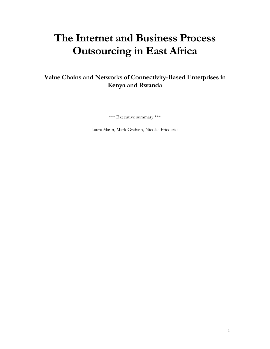# **The Internet and Business Process Outsourcing in East Africa**

# **Value Chains and Networks of Connectivity-Based Enterprises in Kenya and Rwanda**

\*\*\* Executive summary \*\*\*

Laura Mann, Mark Graham, Nicolas Friederici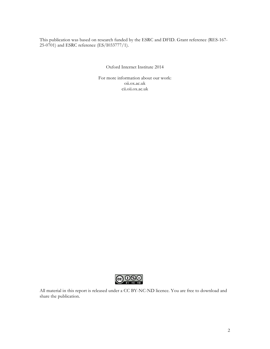This publication was based on research funded by the ESRC and DFID. Grant reference (RES-167- 25-0701) and ESRC reference (ES/I033777/1).

Oxford Internet Institute 2014

For more information about our work: oii.ox.ac.uk cii.oii.ox.ac.uk



All material in this report is released under a CC BY-NC-ND licence. You are free to download and share the publication.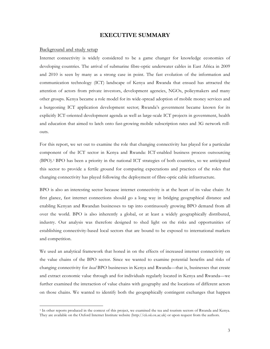# **EXECUTIVE SUMMARY**

#### Background and study setup

Internet connectivity is widely considered to be a game changer for knowledge economies of developing countries. The arrival of submarine fibre-optic underwater cables in East Africa in 2009 and 2010 is seen by many as a strong case in point. The fast evolution of the information and communication technology (ICT) landscape of Kenya and Rwanda that ensued has attracted the attention of actors from private investors, development agencies, NGOs, policymakers and many other groups. Kenya became a role model for its wide-spread adoption of mobile money services and a burgeoning ICT application development sector; Rwanda's government became known for its explicitly ICT-oriented development agenda as well as large-scale ICT projects in government, health and education that aimed to latch onto fast-growing mobile subscription rates and 3G network rollouts.

For this report, we set out to examine the role that changing connectivity has played for a particular component of the ICT sector in Kenya and Rwanda: ICT-enabled business process outsourcing (BPO).1 BPO has been a priority in the national ICT strategies of both countries, so we anticipated this sector to provide a fertile ground for comparing expectations and practices of the roles that changing connectivity has played following the deployment of fibre-optic cable infrastructure.

BPO is also an interesting sector because internet connectivity is at the heart of its value chain: At first glance, fast internet connections should go a long way in bridging geographical distance and enabling Kenyan and Rwandan businesses to tap into continuously growing BPO demand from all over the world. BPO is also inherently a global, or at least a widely geographically distributed, industry. Our analysis was therefore designed to shed light on the risks and opportunities of establishing connectivity-based local sectors that are bound to be exposed to international markets and competition.

We used an analytical framework that honed in on the effects of increased internet connectivity on the value chains of the BPO sector. Since we wanted to examine potential benefits and risks of changing connectivity for *local* BPO businesses in Kenya and Rwanda—that is, businesses that create and extract economic value through and for individuals regularly located in Kenya and Rwanda—we further examined the interaction of value chains with geography and the locations of different actors on those chains. We wanted to identify both the geographically contingent exchanges that happen

 <sup>1</sup> In other reports produced in the context of this project, we examined the tea and tourism sectors of Rwanda and Kenya. They are available on the Oxford Internet Institute website (http://cii.oii.ox.ac.uk) or upon request from the authors.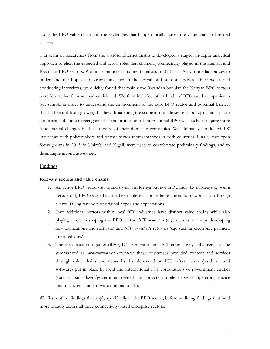along the BPO value chain and the exchanges that happen locally across the value chains of related sectors.

Our team of researchers from the Oxford Internet Institute developed a staged, in-depth analytical approach to elicit the expected and actual roles that changing connectivity played in the Kenyan and Rwandan BPO sectors. We first conducted a content analysis of 378 East African media sources to understand the hopes and visions invested in the arrival of fibre-optic cables. Once we started conducting interviews, we quickly found that mainly the Rwandan but also the Kenyan BPO sectors were less active than we had envisioned. We then included other kinds of ICT-based companies in our sample in order to understand the environment of the core BPO sector and potential barriers that had kept it from growing further. Broadening the scope also made sense as policymakers in both countries had come to recognize that the promotion of international BPO was likely to require more fundamental changes in the structure of their domestic economies. We ultimately conducted 102 interviews with policymakers and private sector representatives in both countries. Finally, two open focus groups in 2013, in Nairobi and Kigali, were used to corroborate preliminary findings, and to disentangle inconclusive ones.

#### **Findings**

# **Relevant sectors and value chains**

- 1. An active BPO sector was found to exist in Kenya but not in Rwanda. Even Kenya's, over a decade-old, BPO sector has not been able to capture large amounts of work from foreign clients, falling far short of original hopes and expectations.
- 2. Two additional sectors within local ICT industries have distinct value chains while also playing a role in shaping the BPO sector: *ICT innovators* (e.g. such as start-ups developing new applications and software) and *ICT connectivity enhancers* (e.g. such as electronic payment intermediaries).
- 3. The three sectors together (BPO, ICT innovators and ICT connectivity enhancers) can be summarized as *connectivity-based enterprises*: these businesses provided content and services through value chains and networks that depended on ICT infrastructure (hardware and software) put in place by local and international ICT corporations or government entities (such as subsidized/government-owned and private mobile network operators, device manufacturers, and software multinationals).

We first outline findings that apply specifically to the BPO sector, before outlining findings that hold more broadly across all three connectivity-based enterprise sectors.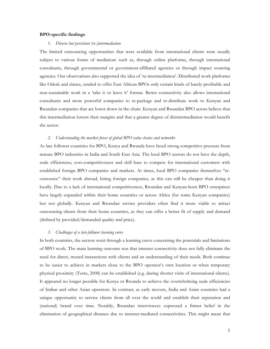#### **BPO-specific findings**

#### *1. Diverse but persistent (re-)intermediation*

The limited outsourcing opportunities that were available from international clients were usually subject to various forms of mediation: such as, through online platforms, through international consultants, through governmental or government-affiliated agencies or through impact sourcing agencies. Our observations also supported the idea of 're-intermediation'. Distributed work platforms like Odesk and elance, tended to offer East African BPOs only certain kinds of barely-profitable and non-sustainable work in a 'take it or leave it' format. Better connectivity also allows international consultants and more powerful companies to re-package and re-distribute work to Kenyan and Rwandan companies that are lower down in the chain. Kenyan and Rwandan BPO actors believe that this intermediation lowers their margins and that a greater degree of disintermediation would benefit the sector.

# *2. Understanding the market forces of global BPO value chains and networks*

As late follower countries for BPO, Kenya and Rwanda have faced strong competitive pressure from mature BPO industries in India and South East Asia. The local BPO sectors do not have the depth, scale efficiencies, cost-competitiveness and skill base to compete for international customers with established foreign BPO companies and markets. At times, local BPO companies themselves "reoutsource" their work abroad, hiring foreign companies, as this can still be cheaper than doing it locally. Due to a lack of international competitiveness, Rwandan and Kenyan-born BPO enterprises have largely expanded within their home countries or across Africa (for some Kenyan companies) but not globally. Kenyan and Rwandan service providers often find it more viable to attract outsourcing clients from their home countries, as they can offer a better fit of supply and demand (defined by provided/demanded quality and price).

#### *3. Challenges of a late-follower learning curve*

In both countries, the sectors went through a learning curve concerning the potentials and limitations of BPO work. The main learning outcome was that internet connectivity does not fully eliminate the need for direct, trusted interactions with clients and an understanding of their needs. Both continue to be easier to achieve in markets close to the BPO operator's own location or when temporary physical proximity (Torre, 2008) can be established (e.g. during shorter visits of international clients). It appeared no longer possible for Kenya or Rwanda to achieve the overwhelming scale efficiencies of Indian and other Asian operators. In contrast, as early movers, India and Asian countries had a unique opportunity to service clients from all over the world and establish their reputation and (national) brand over time. Notably, Rwandan interviewees expressed a firmer belief in the elimination of geographical distance due to internet-mediated connectivities. This might mean that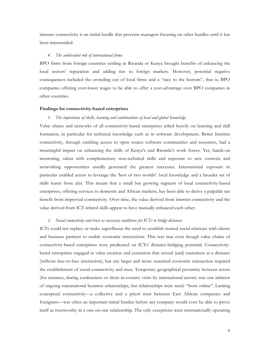internet connectivity is an initial hurdle that prevents managers focusing on other hurdles until it has been transcended.

# *4. The ambivalent role of international firms*

BPO firms from foreign countries settling in Rwanda or Kenya brought benefits of enhancing the local sectors' reputation and adding ties to foreign markets. However, potential negative consequences included the crowding out of local firms and a "race to the bottom", that is, BPO companies offering ever-lower wages to be able to offer a cost-advantage over BPO companies in other countries.

#### **Findings for connectivity-based enterprises**

#### *1. The importance of skills, learning and combinations of local and global knowledge*

Value chains and networks of all connectivity-based enterprises relied heavily on learning and skill formation, in particular for technical knowledge such as in software development. Better Internet connectivity, through enabling access to open source software communities and resources, had a meaningful impact on enhancing the skills of Kenya's and Rwanda's work forces. Yet, hands-on mentoring, talent with complementary non-technical skills and exposure to new contexts and networking opportunities usually generated the greatest successes. International exposure in particular enabled actors to leverage the 'best of two worlds': local knowledge and a broader set of skills learnt from afar. This meant that a small but growing segment of local connectivity-based enterprises, offering services to domestic and African markets, has been able to derive a palpable net benefit from improved connectivity. Over time, the value derived from internet connectivity and the value derived from ICT-related skills appear to have mutually enhanced each other.

# *2. Social connectivity and trust as necessary conditions for ICTs to bridge distances*

ICTs could not replace or make superfluous the need to establish trusted social relations with clients and business partners to enable economic interactions. This was true even though value chains of connectivity-based enterprises were predicated on ICTs' distance-bridging potential. Connectivitybased enterprises engaged in value creation and extraction that served (end) customers at a distance (without face-to-face interaction), but any larger and more sustained economic transaction required the establishment of social connectivity and trust. Temporary geographical proximity between actors (for instance, during conferences or short in-country visits by international actors) was one initiator of ongoing transnational business relationships, but relationships were rarely "born online". Lacking conceptual connectivity—a collective and a priori trust between East African companies and foreigners—was often an important initial burden before any company would even be able to prove itself as trustworthy in a one-on-one relationship. The only exceptions were internationally operating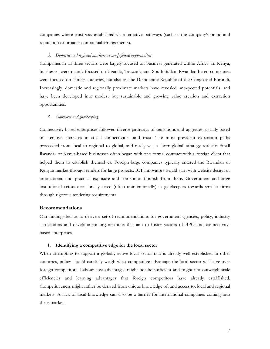companies where trust was established via alternative pathways (such as the company's brand and reputation or broader contractual arrangements).

# *3. Domestic and regional markets as newly found opportunities*

Companies in all three sectors were largely focused on business generated within Africa. In Kenya, businesses were mainly focused on Uganda, Tanzania, and South Sudan. Rwandan-based companies were focused on similar countries, but also on the Democratic Republic of the Congo and Burundi. Increasingly, domestic and regionally proximate markets have revealed unexpected potentials, and have been developed into modest but sustainable and growing value creation and extraction opportunities.

#### *4. Gateways and gatekeeping*

Connectivity-based enterprises followed diverse pathways of transitions and upgrades, usually based on iterative increases in social connectivities and trust. The most prevalent expansion paths proceeded from local to regional to global, and rarely was a 'born-global' strategy realistic. Small Rwanda- or Kenya-based businesses often began with one formal contract with a foreign client that helped them to establish themselves. Foreign large companies typically entered the Rwandan or Kenyan market through tenders for large projects. ICT innovators would start with website design or international and practical exposure and sometimes flourish from there. Government and large institutional actors occasionally acted (often unintentionally) as gatekeepers towards smaller firms through rigorous tendering requirements.

# **Recommendations**

Our findings led us to derive a set of recommendations for government agencies, policy, industry associations and development organizations that aim to foster sectors of BPO and connectivitybased enterprises.

# **1. Identifying a competitive edge for the local sector**

When attempting to support a globally active local sector that is already well established in other countries, policy should carefully weigh what competitive advantage the local sector will have over foreign competitors. Labour cost advantages might not be sufficient and might not outweigh scale efficiencies and learning advantages that foreign competitors have already established. Competitiveness might rather be derived from unique knowledge of, and access to, local and regional markets. A lack of local knowledge can also be a barrier for international companies coming into these markets.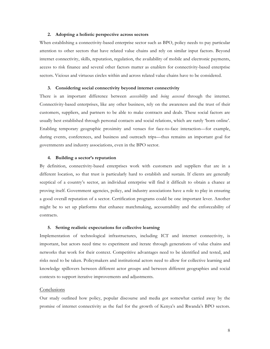# **2. Adopting a holistic perspective across sectors**

When establishing a connectivity-based enterprise sector such as BPO, policy needs to pay particular attention to other sectors that have related value chains and rely on similar input factors. Beyond internet connectivity, skills, reputation, regulation, the availability of mobile and electronic payments, access to risk finance and several other factors matter as enablers for connectivity-based enterprise sectors. Vicious and virtuous circles within and across related value chains have to be considered.

#### **3. Considering social connectivity beyond internet connectivity**

There is an important difference between *accessibility* and *being accessed* through the internet. Connectivity-based enterprises, like any other business, rely on the awareness and the trust of their customers, suppliers, and partners to be able to make contracts and deals. These social factors are usually best established through personal contacts and social relations, which are rarely 'born online'. Enabling temporary geographic proximity and venues for face-to-face interaction—for example, during events, conferences, and business and outreach trips—thus remains an important goal for governments and industry associations, even in the BPO sector.

#### **4. Building a sector's reputation**

By definition, connectivity-based enterprises work with customers and suppliers that are in a different location, so that trust is particularly hard to establish and sustain. If clients are generally sceptical of a country's sector, an individual enterprise will find it difficult to obtain a chance at proving itself. Government agencies, policy, and industry associations have a role to play in ensuring a good overall reputation of a sector. Certification programs could be one important lever. Another might be to set up platforms that enhance matchmaking, accountability and the enforceability of contracts.

#### **5. Setting realistic expectations for collective learning**

Implementation of technological infrastructures, including ICT and internet connectivity, is important, but actors need time to experiment and iterate through generations of value chains and networks that work for their context. Competitive advantages need to be identified and tested, and risks need to be taken. Policymakers and institutional actors need to allow for collective learning and knowledge spillovers between different actor groups and between different geographies and social contexts to support iterative improvements and adjustments.

#### Conclusions

Our study outlined how policy, popular discourse and media got somewhat carried away by the promise of internet connectivity as the fuel for the growth of Kenya's and Rwanda's BPO sectors.